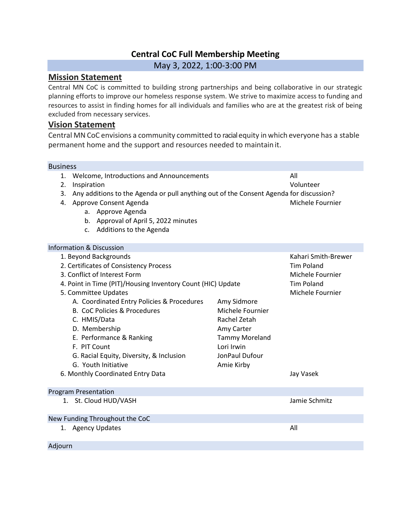# **Central CoC Full Membership Meeting**

May 3, 2022, 1:00-3:00 PM

## **Mission Statement**

Central MN CoC is committed to building strong partnerships and being collaborative in our strategic planning efforts to improve our homeless response system. We strive to maximize access to funding and resources to assist in finding homes for all individuals and families who are at the greatest risk of being excluded from necessary services.

## **Vision Statement**

Central MN CoC envisions a community committed to racialequity in which everyone has a stable permanent home and the support and resources needed to maintain it.

#### **Business**

- 1. Welcome, Introductions and Announcements All
- 2. Inspiration Volunteer
- 3. Any additions to the Agenda or pull anything out of the Consent Agenda for discussion?
- 4. Approve Consent Agenda Michele Fournier
	- a. Approve Agenda
	- b. Approval of April 5, 2022 minutes
	- c. Additions to the Agenda

#### Information & Discussion

| 1. Beyond Backgrounds                                       |                       | Kahari Smith-Brewer |
|-------------------------------------------------------------|-----------------------|---------------------|
| 2. Certificates of Consistency Process                      |                       | <b>Tim Poland</b>   |
| 3. Conflict of Interest Form                                |                       | Michele Fournier    |
| 4. Point in Time (PIT)/Housing Inventory Count (HIC) Update |                       | <b>Tim Poland</b>   |
| 5. Committee Updates                                        |                       | Michele Fournier    |
| A. Coordinated Entry Policies & Procedures                  | Amy Sidmore           |                     |
| <b>B. CoC Policies &amp; Procedures</b>                     | Michele Fournier      |                     |
| C. HMIS/Data                                                | Rachel Zetah          |                     |
| D. Membership                                               | Amy Carter            |                     |
| E. Performance & Ranking                                    | <b>Tammy Moreland</b> |                     |
| F. PIT Count                                                | Lori Irwin            |                     |
| G. Racial Equity, Diversity, & Inclusion                    | JonPaul Dufour        |                     |
| G. Youth Initiative                                         | Amie Kirby            |                     |
| 6. Monthly Coordinated Entry Data                           |                       | Jay Vasek           |
|                                                             |                       |                     |
| <b>Program Presentation</b>                                 |                       |                     |
| 1. St. Cloud HUD/VASH                                       |                       | Jamie Schmitz       |
|                                                             |                       |                     |
| New Funding Throughout the CoC                              |                       |                     |
| 1. Agency Updates                                           |                       | All                 |
|                                                             |                       |                     |
| Adjourn                                                     |                       |                     |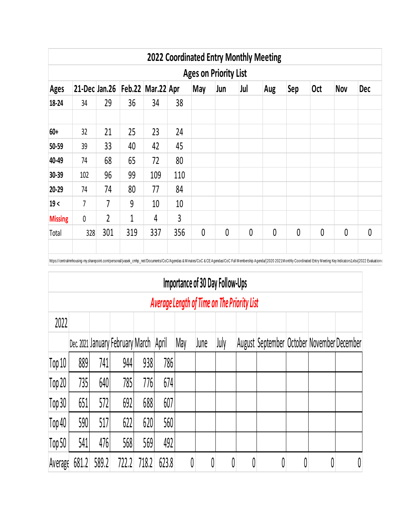|                |                                                                                                                  |                |     |     |     |              |              |   | <b>2022 Coordinated Entry Monthly Meeting</b> |              |   |   |              |  |  |
|----------------|------------------------------------------------------------------------------------------------------------------|----------------|-----|-----|-----|--------------|--------------|---|-----------------------------------------------|--------------|---|---|--------------|--|--|
|                | <b>Ages on Priority List</b>                                                                                     |                |     |     |     |              |              |   |                                               |              |   |   |              |  |  |
| <b>Ages</b>    | 21-Dec Jan.26   Feb.22   Mar.22 Apr<br>Jul<br>Sep<br>Jun<br><b>Oct</b><br><b>Nov</b><br><b>Dec</b><br>May<br>Aug |                |     |     |     |              |              |   |                                               |              |   |   |              |  |  |
| 18-24          | 34                                                                                                               | 29             | 36  | 34  | 38  |              |              |   |                                               |              |   |   |              |  |  |
| 60+            | 32                                                                                                               | 21             | 25  | 23  | 24  |              |              |   |                                               |              |   |   |              |  |  |
| 50-59          | 39                                                                                                               | 33             | 40  | 42  | 45  |              |              |   |                                               |              |   |   |              |  |  |
| 40-49          | 74                                                                                                               | 68             | 65  | 72  | 80  |              |              |   |                                               |              |   |   |              |  |  |
| 30-39          | 102                                                                                                              | 96             | 99  | 109 | 110 |              |              |   |                                               |              |   |   |              |  |  |
| 20-29          | 74                                                                                                               | 74             | 80  | 77  | 84  |              |              |   |                                               |              |   |   |              |  |  |
| 19<            | $\overline{7}$                                                                                                   | 7              | 9   | 10  | 10  |              |              |   |                                               |              |   |   |              |  |  |
| <b>Missing</b> | $\mathbf 0$                                                                                                      | $\overline{2}$ | 1   | 4   | 3   |              |              |   |                                               |              |   |   |              |  |  |
| Total          | 328                                                                                                              | 301            | 319 | 337 | 356 | $\mathbf{0}$ | $\mathbf{0}$ | 0 | 0                                             | $\mathbf{0}$ | 0 | 0 | $\mathbf{0}$ |  |  |

https://centralmnhousing-my.sharepoint.com/personal/jvasek\_cmhp\_net/Documents/CoC/Agendas & Minutes/CoC & CE Agendas/CoC Full Membership Agenda(2020 2021 Monthly Coordinated Entry Meeting Key Indicators1xlsx]2022 Evaluatio

|                                             | Importance of 30 Day Follow-Ups |       |                                  |       |       |     |      |      |   |                                            |   |  |   |  |
|---------------------------------------------|---------------------------------|-------|----------------------------------|-------|-------|-----|------|------|---|--------------------------------------------|---|--|---|--|
| Average Length of Time on The Priority List |                                 |       |                                  |       |       |     |      |      |   |                                            |   |  |   |  |
| 2022                                        |                                 |       |                                  |       |       |     |      |      |   |                                            |   |  |   |  |
|                                             |                                 |       | Dec. 2021 January February March |       | April | May | June | July |   | August September October November December |   |  |   |  |
| Top 10                                      | 889                             | 741   | 944                              | 938   | 786   |     |      |      |   |                                            |   |  |   |  |
| Top 20                                      | 735                             | 640   | 785                              | 776   | 674   |     |      |      |   |                                            |   |  |   |  |
| Top 30                                      | 651                             | 572   | 692                              | 688   | 607   |     |      |      |   |                                            |   |  |   |  |
| Top 40                                      | 590                             | 517   | 622                              | 620   | 560   |     |      |      |   |                                            |   |  |   |  |
| Top 50                                      | 541                             | 476   | 568                              | 569   | 492   |     |      |      |   |                                            |   |  |   |  |
| Average                                     | 681.2                           | 589.2 | 722.2                            | 718.2 | 623.8 | 0   | 0    | 0    | 0 |                                            | 0 |  | 0 |  |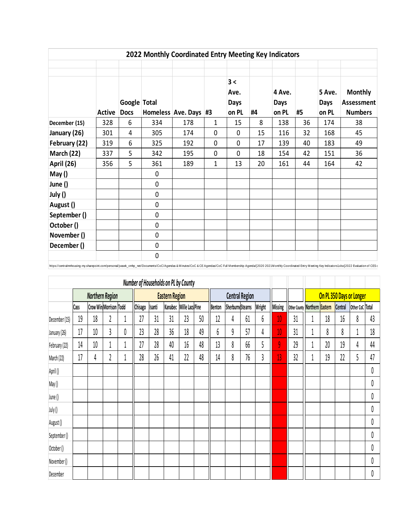|               |        |                             |     | 2022 Monthly Coordinated Entry Meeting Key Indicators |             |                                     |    |                                |    |                         |                                                       |
|---------------|--------|-----------------------------|-----|-------------------------------------------------------|-------------|-------------------------------------|----|--------------------------------|----|-------------------------|-------------------------------------------------------|
|               | Active | Google Total<br><b>Docs</b> |     | Homeless Ave. Days #3                                 |             | 3 <<br>Ave.<br><b>Days</b><br>on PL | #4 | 4 Ave.<br><b>Days</b><br>on PL | #5 | 5 Ave.<br>Days<br>on PL | <b>Monthly</b><br><b>Assessment</b><br><b>Numbers</b> |
| December (15) | 328    | 6                           | 334 | 178                                                   | 1           | 15                                  | 8  | 138                            | 36 | 174                     | 38                                                    |
| January (26)  | 301    | 4                           | 305 | 174                                                   | 0           | 0                                   | 15 | 116                            | 32 | 168                     | 45                                                    |
| February (22) | 319    | 6                           | 325 | 192                                                   | 0           | 0                                   | 17 | 139                            | 40 | 183                     | 49                                                    |
| March (22)    | 337    | 5                           | 342 | 195                                                   | $\mathbf 0$ | $\Omega$                            | 18 | 154                            | 42 | 151                     | 36                                                    |
| April (26)    | 356    | 5                           | 361 | 189                                                   | 1           | 13                                  | 20 | 161                            | 44 | 164                     | 42                                                    |
| May()         |        |                             | 0   |                                                       |             |                                     |    |                                |    |                         |                                                       |
| June ()       |        |                             | 0   |                                                       |             |                                     |    |                                |    |                         |                                                       |
| July ()       |        |                             | 0   |                                                       |             |                                     |    |                                |    |                         |                                                       |
| August ()     |        |                             | 0   |                                                       |             |                                     |    |                                |    |                         |                                                       |
| September()   |        |                             | 0   |                                                       |             |                                     |    |                                |    |                         |                                                       |
| October()     |        |                             | 0   |                                                       |             |                                     |    |                                |    |                         |                                                       |
| November ()   |        |                             | 0   |                                                       |             |                                     |    |                                |    |                         |                                                       |
| December()    |        |                             | 0   |                                                       |             |                                     |    |                                |    |                         |                                                       |
|               |        |                             | 0   |                                                       |             |                                     |    |                                |    |                         |                                                       |

|               | Number of Households on PL by County |                        |                        |   |         |               |                       |                 |    |        |                         |    |        |         |                               |   |    |         |                          |    |
|---------------|--------------------------------------|------------------------|------------------------|---|---------|---------------|-----------------------|-----------------|----|--------|-------------------------|----|--------|---------|-------------------------------|---|----|---------|--------------------------|----|
|               |                                      | <b>Northern Region</b> |                        |   |         |               | <b>Eastern Region</b> |                 |    |        | <b>Central Region</b>   |    |        |         |                               |   |    |         | On PL 350 Days or Longer |    |
|               | Cass                                 |                        | Crow Win Morrison Todd |   | Chisago | <b>Isanti</b> | Kanabec               | Mille Lacs Pine |    | Benton | <b>SherburneStearns</b> |    | Wright | Missing | Other County Northern Eastern |   |    | Central | Other CoC Total          |    |
| December (15) | 19                                   | 18                     | 2                      |   | 27      | 31            | 31                    | 23              | 50 | 12     | 4                       | 61 | 6      | 10      | 31                            | 1 | 18 | 16      | 8                        | 43 |
| January (26)  | 17                                   | 10                     | 3                      | O | 23      | 28            | 36                    | 18              | 49 | 6      | 9                       | 57 | 4      | 10      | 31                            |   | 8  | 8       |                          | 18 |
| February (22) | 14                                   | 10                     |                        |   | 27      | 28            | 40                    | 16              | 48 | 13     | 8                       | 66 | 5      | 9       | 29                            | 1 | 20 | 19      | 4                        | 44 |
| March (22)    | 17                                   | 4                      | 2                      |   | 28      | 26            | 41                    | 22              | 48 | 14     | 8                       | 76 | 3      | 13      | 32                            |   | 19 | 22      |                          | 47 |
| April ()      |                                      |                        |                        |   |         |               |                       |                 |    |        |                         |    |        |         |                               |   |    |         |                          | 0  |
| May ()        |                                      |                        |                        |   |         |               |                       |                 |    |        |                         |    |        |         |                               |   |    |         |                          | 0  |
| June ()       |                                      |                        |                        |   |         |               |                       |                 |    |        |                         |    |        |         |                               |   |    |         |                          | 0  |
| July()        |                                      |                        |                        |   |         |               |                       |                 |    |        |                         |    |        |         |                               |   |    |         |                          | 0  |
| August ()     |                                      |                        |                        |   |         |               |                       |                 |    |        |                         |    |        |         |                               |   |    |         |                          | 0  |
| September()   |                                      |                        |                        |   |         |               |                       |                 |    |        |                         |    |        |         |                               |   |    |         |                          | 0  |
| October()     |                                      |                        |                        |   |         |               |                       |                 |    |        |                         |    |        |         |                               |   |    |         |                          | 0  |
| November()    |                                      |                        |                        |   |         |               |                       |                 |    |        |                         |    |        |         |                               |   |    |         |                          | 0  |
| December      |                                      |                        |                        |   |         |               |                       |                 |    |        |                         |    |        |         |                               |   |    |         |                          | 0  |